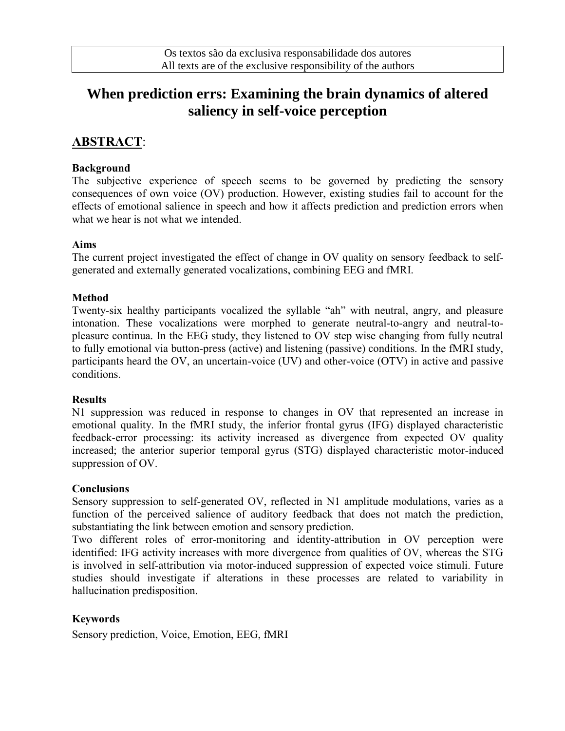# **When prediction errs: Examining the brain dynamics of altered saliency in self-voice perception**

## **ABSTRACT**:

#### **Background**

The subjective experience of speech seems to be governed by predicting the sensory consequences of own voice (OV) production. However, existing studies fail to account for the effects of emotional salience in speech and how it affects prediction and prediction errors when what we hear is not what we intended.

#### **Aims**

The current project investigated the effect of change in OV quality on sensory feedback to selfgenerated and externally generated vocalizations, combining EEG and fMRI.

#### **Method**

Twenty-six healthy participants vocalized the syllable "ah" with neutral, angry, and pleasure intonation. These vocalizations were morphed to generate neutral-to-angry and neutral-topleasure continua. In the EEG study, they listened to OV step wise changing from fully neutral to fully emotional via button-press (active) and listening (passive) conditions. In the fMRI study, participants heard the OV, an uncertain-voice (UV) and other-voice (OTV) in active and passive conditions.

#### **Results**

N1 suppression was reduced in response to changes in OV that represented an increase in emotional quality. In the fMRI study, the inferior frontal gyrus (IFG) displayed characteristic feedback-error processing: its activity increased as divergence from expected OV quality increased; the anterior superior temporal gyrus (STG) displayed characteristic motor-induced suppression of OV.

#### **Conclusions**

Sensory suppression to self-generated OV, reflected in N1 amplitude modulations, varies as a function of the perceived salience of auditory feedback that does not match the prediction, substantiating the link between emotion and sensory prediction.

Two different roles of error-monitoring and identity-attribution in OV perception were identified: IFG activity increases with more divergence from qualities of OV, whereas the STG is involved in self-attribution via motor-induced suppression of expected voice stimuli. Future studies should investigate if alterations in these processes are related to variability in hallucination predisposition.

### **Keywords**

Sensory prediction, Voice, Emotion, EEG, fMRI